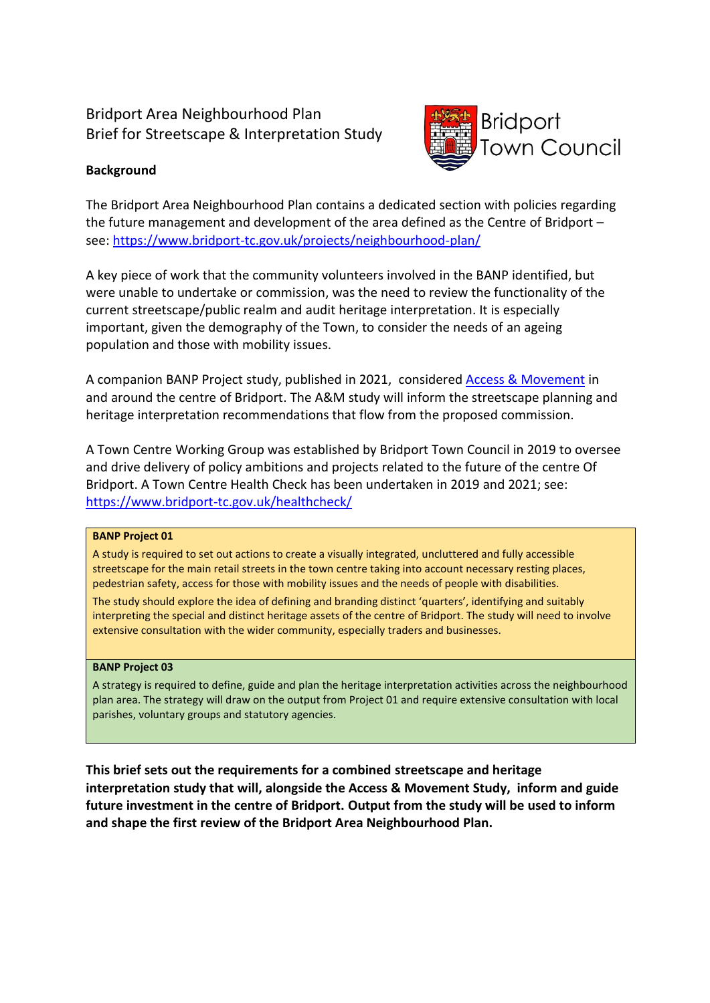# Bridport Area Neighbourhood Plan Brief for Streetscape & Interpretation Study



# **Background**

The Bridport Area Neighbourhood Plan contains a dedicated section with policies regarding the future management and development of the area defined as the Centre of Bridport – see: <https://www.bridport-tc.gov.uk/projects/neighbourhood-plan/>

A key piece of work that the community volunteers involved in the BANP identified, but were unable to undertake or commission, was the need to review the functionality of the current streetscape/public realm and audit heritage interpretation. It is especially important, given the demography of the Town, to consider the needs of an ageing population and those with mobility issues.

A companion BANP Project study, published in 2021, considered [Access & Movement](https://www.bridport-tc.gov.uk/access-and-movement-study-2/) in and around the centre of Bridport. The A&M study will inform the streetscape planning and heritage interpretation recommendations that flow from the proposed commission.

A Town Centre Working Group was established by Bridport Town Council in 2019 to oversee and drive delivery of policy ambitions and projects related to the future of the centre Of Bridport. A Town Centre Health Check has been undertaken in 2019 and 2021; see: <https://www.bridport-tc.gov.uk/healthcheck/>

#### **BANP Project 01**

A study is required to set out actions to create a visually integrated, uncluttered and fully accessible streetscape for the main retail streets in the town centre taking into account necessary resting places, pedestrian safety, access for those with mobility issues and the needs of people with disabilities.

The study should explore the idea of defining and branding distinct 'quarters', identifying and suitably interpreting the special and distinct heritage assets of the centre of Bridport. The study will need to involve extensive consultation with the wider community, especially traders and businesses.

#### **BANP Project 03**

A strategy is required to define, guide and plan the heritage interpretation activities across the neighbourhood plan area. The strategy will draw on the output from Project 01 and require extensive consultation with local parishes, voluntary groups and statutory agencies.

**This brief sets out the requirements for a combined streetscape and heritage interpretation study that will, alongside the Access & Movement Study, inform and guide future investment in the centre of Bridport. Output from the study will be used to inform and shape the first review of the Bridport Area Neighbourhood Plan.**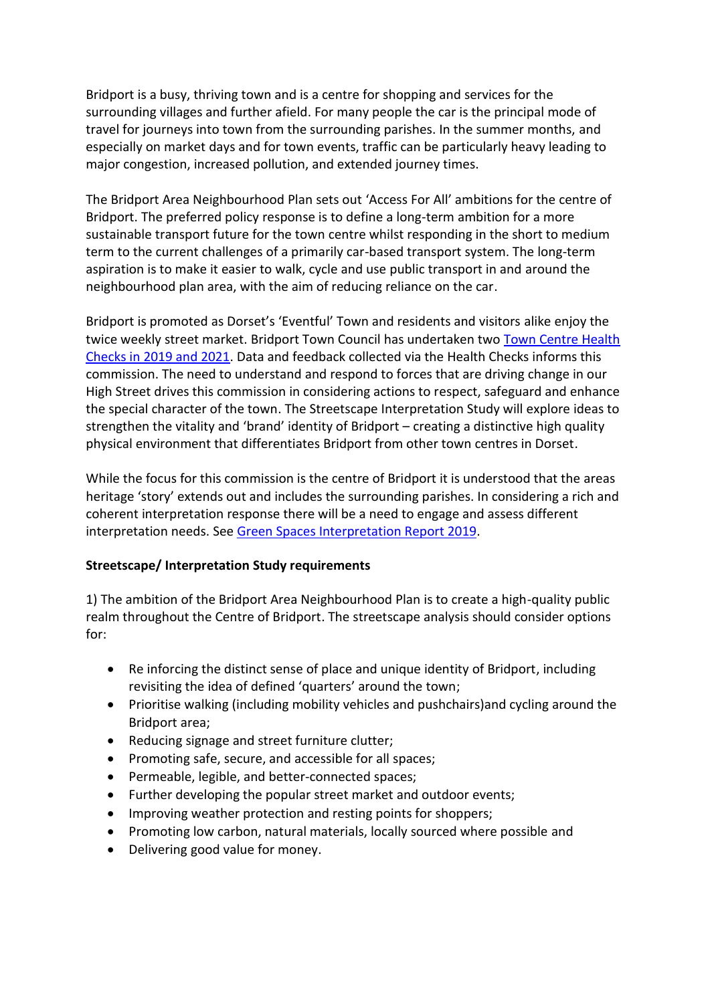Bridport is a busy, thriving town and is a centre for shopping and services for the surrounding villages and further afield. For many people the car is the principal mode of travel for journeys into town from the surrounding parishes. In the summer months, and especially on market days and for town events, traffic can be particularly heavy leading to major congestion, increased pollution, and extended journey times.

The Bridport Area Neighbourhood Plan sets out 'Access For All' ambitions for the centre of Bridport. The preferred policy response is to define a long-term ambition for a more sustainable transport future for the town centre whilst responding in the short to medium term to the current challenges of a primarily car-based transport system. The long-term aspiration is to make it easier to walk, cycle and use public transport in and around the neighbourhood plan area, with the aim of reducing reliance on the car.

Bridport is promoted as Dorset's 'Eventful' Town and residents and visitors alike enjoy the twice weekly street market. Bridport Town Council has undertaken two [Town Centre Health](https://www.bridport-tc.gov.uk/healthcheck/)  [Checks in 2019 and 2021.](https://www.bridport-tc.gov.uk/healthcheck/) Data and feedback collected via the Health Checks informs this commission. The need to understand and respond to forces that are driving change in our High Street drives this commission in considering actions to respect, safeguard and enhance the special character of the town. The Streetscape Interpretation Study will explore ideas to strengthen the vitality and 'brand' identity of Bridport – creating a distinctive high quality physical environment that differentiates Bridport from other town centres in Dorset.

While the focus for this commission is the centre of Bridport it is understood that the areas heritage 'story' extends out and includes the surrounding parishes. In considering a rich and coherent interpretation response there will be a need to engage and assess different interpretation needs. Se[e Green Spaces Interpretation Report 2019.](https://www.bridport-tc.gov.uk/wp-content/uploads/2019/05/Green-Spaces-Report.pdf)

# **Streetscape/ Interpretation Study requirements**

1) The ambition of the Bridport Area Neighbourhood Plan is to create a high-quality public realm throughout the Centre of Bridport. The streetscape analysis should consider options for:

- Re inforcing the distinct sense of place and unique identity of Bridport, including revisiting the idea of defined 'quarters' around the town;
- Prioritise walking (including mobility vehicles and pushchairs)and cycling around the Bridport area;
- Reducing signage and street furniture clutter;
- Promoting safe, secure, and accessible for all spaces;
- Permeable, legible, and better-connected spaces;
- Further developing the popular street market and outdoor events;
- Improving weather protection and resting points for shoppers;
- Promoting low carbon, natural materials, locally sourced where possible and
- Delivering good value for money.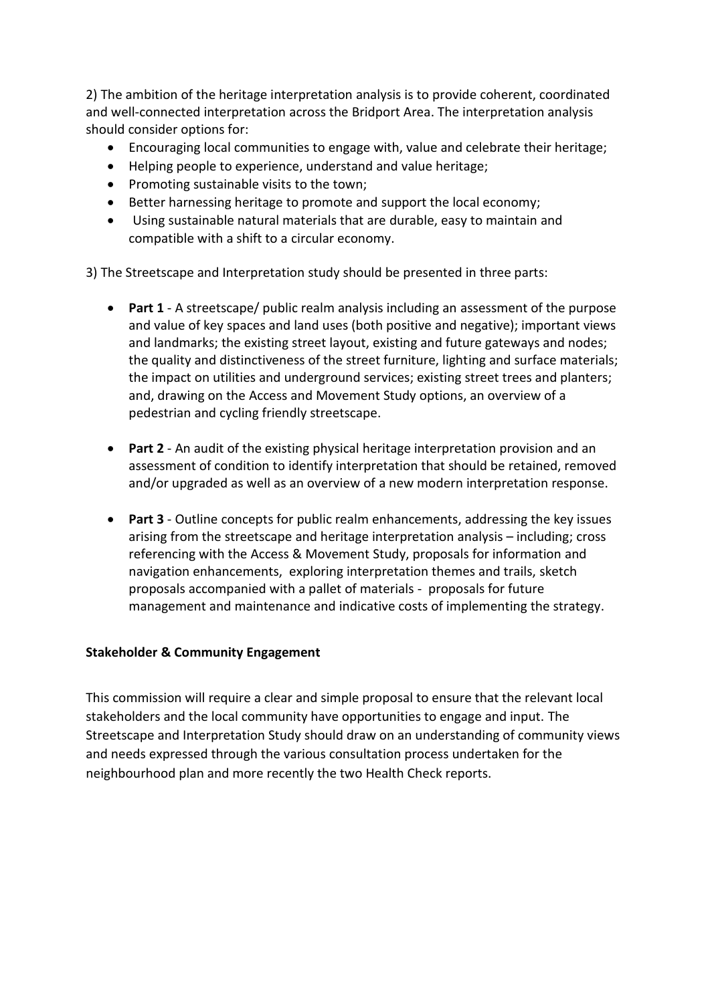2) The ambition of the heritage interpretation analysis is to provide coherent, coordinated and well-connected interpretation across the Bridport Area. The interpretation analysis should consider options for:

- Encouraging local communities to engage with, value and celebrate their heritage;
- Helping people to experience, understand and value heritage;
- Promoting sustainable visits to the town;
- Better harnessing heritage to promote and support the local economy;
- Using sustainable natural materials that are durable, easy to maintain and compatible with a shift to a circular economy.

3) The Streetscape and Interpretation study should be presented in three parts:

- **Part 1** A streetscape/ public realm analysis including an assessment of the purpose and value of key spaces and land uses (both positive and negative); important views and landmarks; the existing street layout, existing and future gateways and nodes; the quality and distinctiveness of the street furniture, lighting and surface materials; the impact on utilities and underground services; existing street trees and planters; and, drawing on the Access and Movement Study options, an overview of a pedestrian and cycling friendly streetscape.
- **Part 2** An audit of the existing physical heritage interpretation provision and an assessment of condition to identify interpretation that should be retained, removed and/or upgraded as well as an overview of a new modern interpretation response.
- **Part 3** Outline concepts for public realm enhancements, addressing the key issues arising from the streetscape and heritage interpretation analysis – including; cross referencing with the Access & Movement Study, proposals for information and navigation enhancements, exploring interpretation themes and trails, sketch proposals accompanied with a pallet of materials - proposals for future management and maintenance and indicative costs of implementing the strategy.

# **Stakeholder & Community Engagement**

This commission will require a clear and simple proposal to ensure that the relevant local stakeholders and the local community have opportunities to engage and input. The Streetscape and Interpretation Study should draw on an understanding of community views and needs expressed through the various consultation process undertaken for the neighbourhood plan and more recently the two Health Check reports.